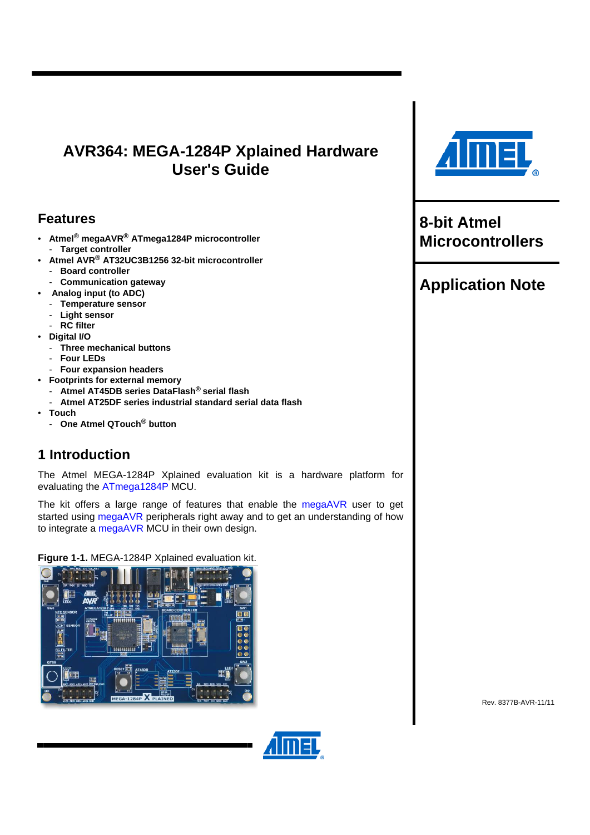# <span id="page-0-0"></span>**AVR364: MEGA-1284P Xplained Hardware User's Guide**

## **Features**

- <span id="page-0-1"></span>• **Atmel® megaAVR® ATmega1284P microcontroller**  - **Target controller**
- **Atmel AVR® AT32UC3B1256 32-bit microcontroller**  - **Board controller**
- **Communication gateway**
- **Analog input (to ADC)**
- **Temperature sensor**
- **Light sensor**
- **RC filter**
- **Digital I/O** 
	- **Three mechanical buttons**
	- **Four LEDs**
	- **Four expansion headers**
- **Footprints for external memory**
- **Atmel AT45DB series DataFlash® serial flash**  - **Atmel AT25DF series industrial standard serial data flash**
- **Touch** 
	- **One Atmel QTouch® button**

# <span id="page-0-2"></span>**1 Introduction**

The Atmel MEGA-1284P Xplained evaluation kit is a hardware platform for evaluating the [ATmega1284P](http://www.atmel.com/dyn/products/product_card.asp?part_id=4331) MCU.

The kit offers a large range of features that enable the [megaAVR](http://www.atmel.com/dyn/products/devices.asp?category_id=163&family_id=607&subfamily_id=760) user to get started using [megaAVR](http://www.atmel.com/dyn/products/devices.asp?category_id=163&family_id=607&subfamily_id=760) peripherals right away and to get an understanding of how to integrate a [megaAVR](http://www.atmel.com/dyn/products/devices.asp?category_id=163&family_id=607&subfamily_id=760) MCU in their own design.

**Figure 1-1.** MEGA-1284P Xplained evaluation kit.





**8-bit Atmel Microcontrollers** 

# **Application Note**

Rev. 8377B-AVR-11/11

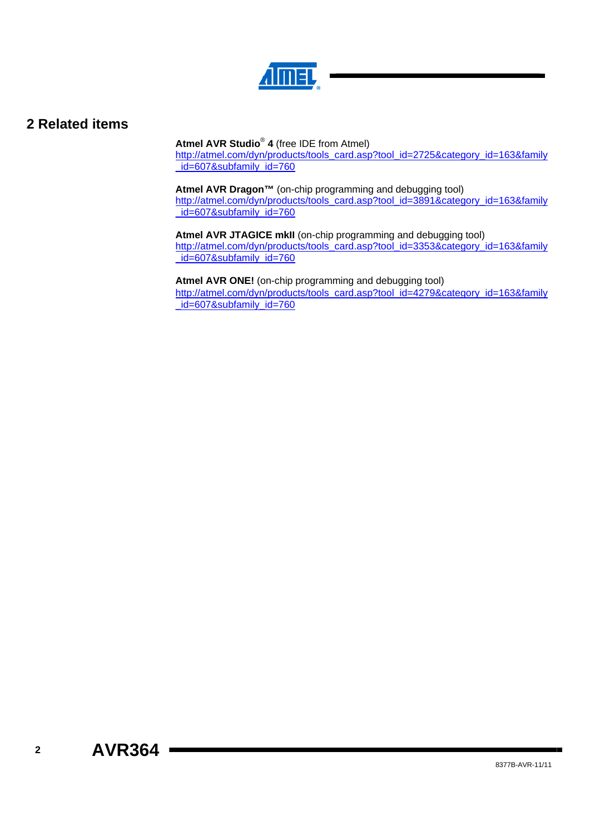

## <span id="page-1-1"></span><span id="page-1-0"></span>**2 Related items**

**Atmel AVR Studio**®  **4** (free IDE from Atmel)

[http://atmel.com/dyn/products/tools\\_card.asp?tool\\_id=2725&category\\_id=163&family](http://atmel.com/dyn/products/tools_card.asp?tool_id=2725&category_id=163&family_id=607&subfamily_id=760) id=607&subfamily\_id=760

**Atmel AVR Dragon™** (on-chip programming and debugging tool) [http://atmel.com/dyn/products/tools\\_card.asp?tool\\_id=3891&category\\_id=163&family](http://atmel.com/dyn/products/tools_card.asp?tool_id=3891&category_id=163&family_id=607&subfamily_id=760) id=607&subfamily\_id=760

**Atmel AVR JTAGICE mkII** (on-chip programming and debugging tool) [http://atmel.com/dyn/products/tools\\_card.asp?tool\\_id=3353&category\\_id=163&family](http://atmel.com/dyn/products/tools_card.asp?tool_id=3353&category_id=163&family_id=607&subfamily_id=760) id=607&subfamily\_id=760

**Atmel AVR ONE!** (on-chip programming and debugging tool) [http://atmel.com/dyn/products/tools\\_card.asp?tool\\_id=4279&category\\_id=163&family](http://atmel.com/dyn/products/tools_card.asp?tool_id=4279&category_id=163&family_id=607&subfamily_id=760) [\\_id=607&subfamily\\_id=760](http://atmel.com/dyn/products/tools_card.asp?tool_id=4279&category_id=163&family_id=607&subfamily_id=760)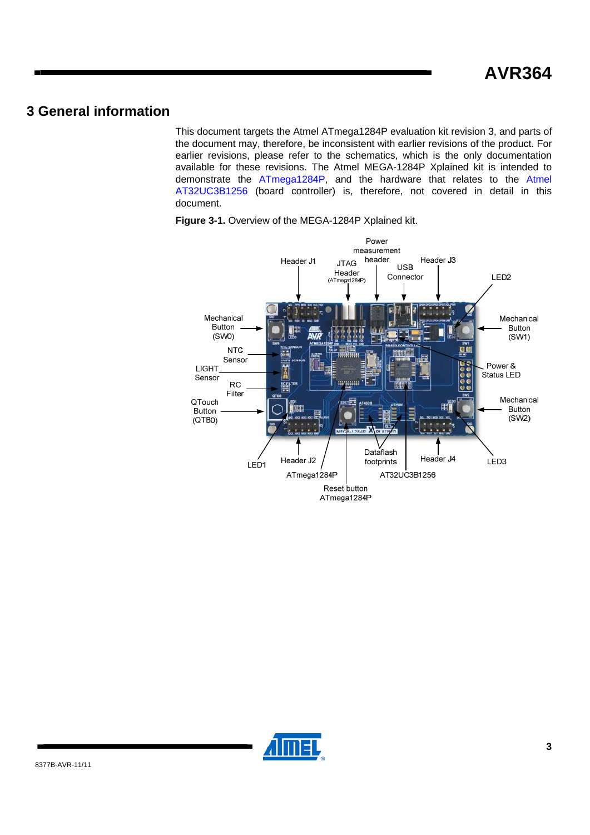## <span id="page-2-2"></span><span id="page-2-1"></span><span id="page-2-0"></span>**3 General information**

This document targets the Atmel ATmega1284P evaluation kit revision 3, and parts of the document may, therefore, be inconsistent with earlier revisions of the product. For earlier revisions, please refer to the schematics, which is the only documentation available for these revisions. The Atmel MEGA-1284P Xplained kit is intended to demonstrate the [ATmega1284P](http://www.atmel.com/dyn/products/product_card.asp?part_id=4331), and the hardware that relates to the [Atmel](http://www.atmel.com/dyn/products/product_card.asp?part_id=4176&category_id=&family_id=607&subfamily_id=1603)  [AT32UC3B1256](http://www.atmel.com/dyn/products/product_card.asp?part_id=4176&category_id=&family_id=607&subfamily_id=1603) (board controller) is, therefore, not covered in detail in this document.



**Figure 3-1.** Overview of the MEGA-1284P Xplained kit.

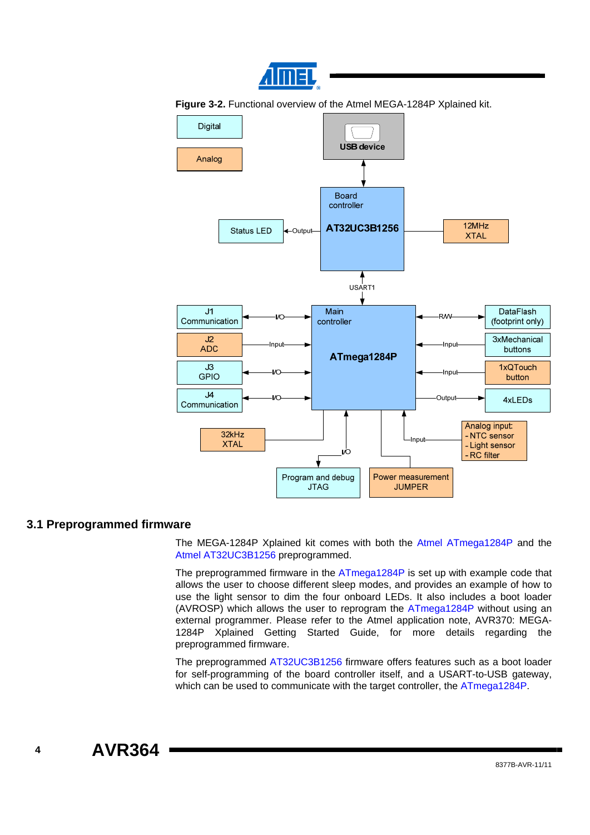

<span id="page-3-0"></span>**Figure 3-2.** Functional overview of the Atmel MEGA-1284P Xplained kit.



#### <span id="page-3-1"></span>**3.1 Preprogrammed firmware**

The MEGA-1284P Xplained kit comes with both the [Atmel ATmega1284P](http://www.atmel.com/dyn/products/product_card.asp?part_id=4331) and the [Atmel AT32UC3B1256](http://www.atmel.com/dyn/products/product_card.asp?part_id=4176&category_id=&family_id=607&subfamily_id=1603) preprogrammed.

The preprogrammed firmware in the [ATmega1284P](http://www.atmel.com/dyn/products/product_card.asp?part_id=4331) is set up with example code that allows the user to choose different sleep modes, and provides an example of how to use the light sensor to dim the four onboard LEDs. It also includes a boot loader (AVROSP) which allows the user to reprogram the [ATmega1284P](http://www.atmel.com/dyn/products/product_card.asp?part_id=4331) without using an external programmer. Please refer to the Atmel application note, AVR370: MEGA-1284P Xplained Getting Started Guide, for more details regarding the preprogrammed firmware.

The preprogrammed [AT32UC3B1256](http://www.atmel.com/dyn/products/product_card.asp?part_id=4176&category_id=&family_id=607&subfamily_id=1603) firmware offers features such as a boot loader for self-programming of the board controller itself, and a USART-to-USB gateway, which can be used to communicate with the target controller, the [ATmega1284P.](http://www.atmel.com/dyn/products/product_card.asp?part_id=4331)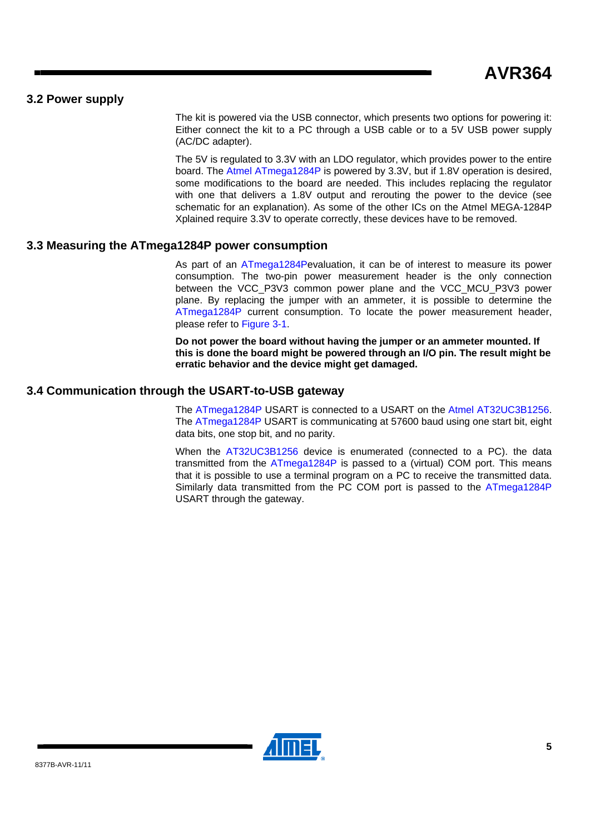#### <span id="page-4-1"></span><span id="page-4-0"></span>**3.2 Power supply**

The kit is powered via the USB connector, which presents two options for powering it: Either connect the kit to a PC through a USB cable or to a 5V USB power supply (AC/DC adapter).

The 5V is regulated to 3.3V with an LDO regulator, which provides power to the entire board. The [Atmel ATmega1284P](http://www.atmel.com/dyn/products/product_card.asp?part_id=4331) is powered by 3.3V, but if 1.8V operation is desired, some modifications to the board are needed. This includes replacing the regulator with one that delivers a 1.8V output and rerouting the power to the device (see schematic for an explanation). As some of the other ICs on the Atmel MEGA-1284P Xplained require 3.3V to operate correctly, these devices have to be removed.

#### <span id="page-4-2"></span>**3.3 Measuring the ATmega1284P power consumption**

As part of an [ATmega1284P](http://www.atmel.com/dyn/products/product_card.asp?part_id=4331)evaluation, it can be of interest to measure its power consumption. The two-pin power measurement header is the only connection between the VCC\_P3V3 common power plane and the VCC\_MCU\_P3V3 power plane. By replacing the jumper with an ammeter, it is possible to determine the [ATmega1284P](http://www.atmel.com/dyn/products/product_card.asp?part_id=4331) current consumption. To locate the power measurement header, please refer to [Figure 3-1.](#page-2-0)

**Do not power the board without having the jumper or an ammeter mounted. If this is done the board might be powered through an I/O pin. The result might be erratic behavior and the device might get damaged.** 

### <span id="page-4-3"></span>**3.4 Communication through the USART-to-USB gateway**

The [ATmega1284P](http://www.atmel.com/dyn/products/product_card.asp?part_id=4331) USART is connected to a USART on the [Atmel AT32UC3B1256](http://www.atmel.com/dyn/products/product_card.asp?part_id=4176&category_id=&family_id=607&subfamily_id=1603). The [ATmega1284P](http://www.atmel.com/dyn/products/product_card.asp?part_id=4331) USART is communicating at 57600 baud using one start bit, eight data bits, one stop bit, and no parity.

When the [AT32UC3B1256](http://www.atmel.com/dyn/products/product_card.asp?part_id=4176&category_id=&family_id=607&subfamily_id=1603) device is enumerated (connected to a PC). the data transmitted from the [ATmega1284P](http://www.atmel.com/dyn/products/product_card.asp?part_id=4331) is passed to a (virtual) COM port. This means that it is possible to use a terminal program on a PC to receive the transmitted data. Similarly data transmitted from the PC COM port is passed to the [ATmega1284P](http://www.atmel.com/dyn/products/product_card.asp?part_id=4331) USART through the gateway.

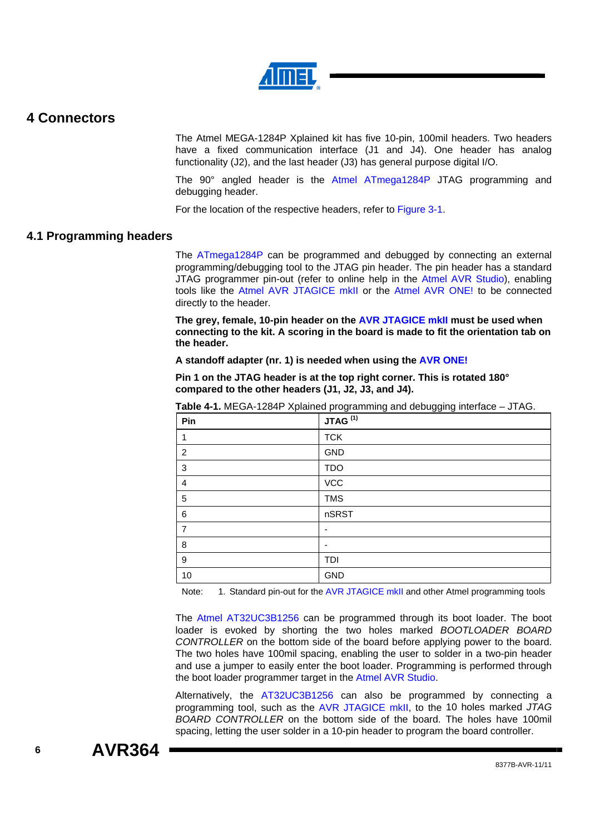

### <span id="page-5-1"></span><span id="page-5-0"></span>**4 Connectors**

The Atmel MEGA-1284P Xplained kit has five 10-pin, 100mil headers. Two headers have a fixed communication interface (J1 and J4). One header has analog functionality (J2), and the last header (J3) has general purpose digital I/O.

The 90° angled header is the [Atmel ATmega1284P](http://www.atmel.com/dyn/products/product_card.asp?part_id=4331) JTAG programming and debugging header.

For the location of the respective headers, refer to [Figure 3-1.](#page-2-0)

#### <span id="page-5-2"></span>**4.1 Programming headers**

The [ATmega1284P](http://www.atmel.com/dyn/products/product_card.asp?part_id=4331) can be programmed and debugged by connecting an external programming/debugging tool to the JTAG pin header. The pin header has a standard JTAG programmer pin-out (refer to online help in the [Atmel AVR Studio\)](http://www.atmel.com/dyn/products/tools_card.asp?tool_id=2725), enabling tools like the [Atmel AVR JTAGICE mkII or th](http://www.atmel.com/dyn/products/tools_card.asp?tool_id=3353)e [Atmel AVR ONE!](http://www.atmel.com/dyn/products/tools_card.asp?tool_id=4279) to be connected directly to the header.

**The grey, female, 10-pin header on the [AVR JTAGICE mkII](http://www.atmel.com/dyn/products/tools_card.asp?tool_id=3353) must be used when connecting to the kit. A scoring in the board is made to fit the orientation tab on the header.** 

**A standoff adapter (nr. 1) is needed when using the [AVR ONE!](http://www.atmel.com/dyn/products/tools_card.asp?tool_id=4279)**

**Pin 1 on the JTAG header is at the top right corner. This is rotated 180° compared to the other headers (J1, J2, J3, and J4).** 

| Pin            | JTAG <sup>(1)</sup> |
|----------------|---------------------|
| 1              | <b>TCK</b>          |
| $\overline{c}$ | GND                 |
| 3              | <b>TDO</b>          |
| 4              | VCC                 |
| 5              | <b>TMS</b>          |
| 6              | nSRST               |
| 7              |                     |
| 8              | -                   |
| 9              | TDI                 |
| 10             | GND                 |

**Table 4-1.** MEGA-1284P Xplained programming and debugging interface – JTAG.

Note: 1. Standard pin-out for the [AVR JTAGICE mkII](http://www.atmel.com/dyn/products/tools_card.asp?tool_id=3353) and other Atmel programming tools

The [Atmel AT32UC3B1256](http://www.atmel.com/dyn/products/product_card.asp?part_id=4176&category_id=&family_id=607&subfamily_id=1603) can be programmed through its boot loader. The boot loader is evoked by shorting the two holes marked *BOOTLOADER BOARD CONTROLLER* on the bottom side of the board before applying power to the board. The two holes have 100mil spacing, enabling the user to solder in a two-pin header and use a jumper to easily enter the boot loader. Programming is performed through the boot loader programmer target in the [Atmel AVR Studio.](http://www.atmel.com/dyn/products/tools_card.asp?tool_id=4116)

Alternatively, the [AT32UC3B1256](http://www.atmel.com/dyn/products/product_card.asp?part_id=4176&category_id=&family_id=607&subfamily_id=1603) can also be programmed by connecting a programming tool, such as the [AVR JTAGICE mkII](http://www.atmel.com/dyn/products/tools_card.asp?tool_id=3353), to the 10 holes marked *JTAG BOARD CONTROLLER* on the bottom side of the board. The holes have 100mil spacing, letting the user solder in a 10-pin header to program the board controller.

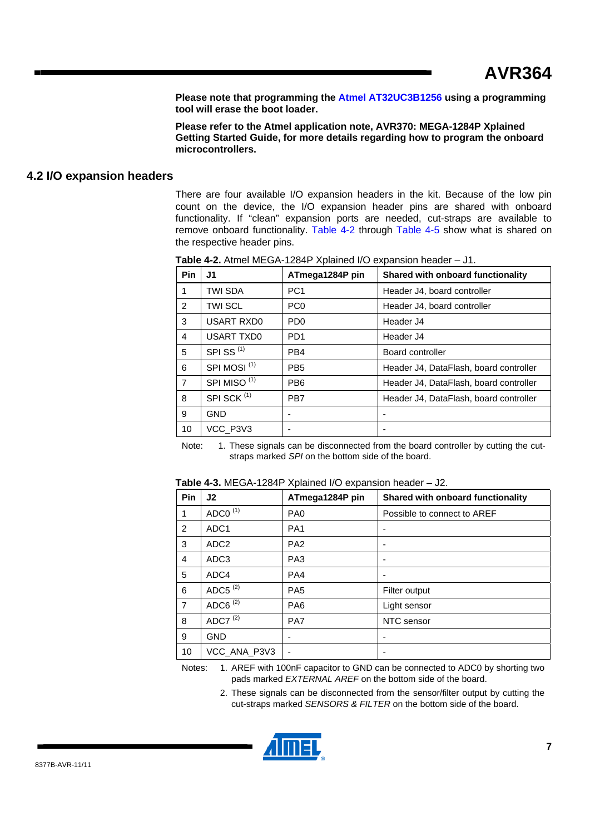**Please note that programming the [Atmel AT32UC3B1256](http://www.atmel.com/dyn/products/product_card.asp?part_id=4176&category_id=&family_id=607&subfamily_id=1603) using a programming tool will erase the boot loader.** 

**Please refer to the Atmel application note, AVR370: MEGA-1284P Xplained Getting Started Guide, for more details regarding how to program the onboard microcontrollers.** 

#### <span id="page-6-2"></span><span id="page-6-1"></span><span id="page-6-0"></span>**4.2 I/O expansion headers**

There are four available I/O expansion headers in the kit. Because of the low pin count on the device, the I/O expansion header pins are shared with onboard functionality. If "clean" expansion ports are needed, cut-straps are available to remove onboard functionality. [Table 4-2](#page-6-0) through [Table 4-5](#page-7-0) show what is shared on the respective header pins.

| Pin            | J1                      | ATmega1284P pin             | Shared with onboard functionality      |
|----------------|-------------------------|-----------------------------|----------------------------------------|
| 1              | TWI SDA                 | PC <sub>1</sub>             | Header J4, board controller            |
| 2              | <b>TWI SCL</b>          | PC <sub>0</sub>             | Header J4, board controller            |
| 3              | <b>USART RXD0</b>       | P <sub>D</sub> <sub>0</sub> | Header J4                              |
| 4              | <b>USART TXD0</b>       | PD <sub>1</sub>             | Header J4                              |
| 5              | SPISS <sup>(1)</sup>    | PB4                         | Board controller                       |
| 6              | SPI MOSI <sup>(1)</sup> | PB <sub>5</sub>             | Header J4, DataFlash, board controller |
| $\overline{7}$ | SPI MISO <sup>(1)</sup> | PB <sub>6</sub>             | Header J4, DataFlash, board controller |
| 8              | SPI SCK <sup>(1)</sup>  | PB7                         | Header J4, DataFlash, board controller |
| 9              | <b>GND</b>              |                             |                                        |
| 10             | VCC P3V3                |                             |                                        |

**Table 4-2.** Atmel MEGA-1284P Xplained I/O expansion header – J1.

Note: 1. These signals can be disconnected from the board controller by cutting the cutstraps marked *SPI* on the bottom side of the board.

| Pin            | J2               | ATmega1284P pin | Shared with onboard functionality |
|----------------|------------------|-----------------|-----------------------------------|
|                | ADCO $(1)$       | PA <sub>0</sub> | Possible to connect to AREF       |
| 2              | ADC <sub>1</sub> | PA <sub>1</sub> |                                   |
| 3              | ADC <sub>2</sub> | PA <sub>2</sub> |                                   |
| 4              | ADC <sub>3</sub> | PA <sub>3</sub> |                                   |
| 5              | ADC4             | PA4             |                                   |
| 6              | ADC5 $(2)$       | PA <sub>5</sub> | Filter output                     |
| $\overline{7}$ | ADC6 $(2)$       | PA <sub>6</sub> | Light sensor                      |
| 8              | ADC7 $(2)$       | PA7             | NTC sensor                        |
| 9              | <b>GND</b>       |                 |                                   |
| 10             | VCC_ANA_P3V3     |                 |                                   |

**Table 4-3.** MEGA-1284P Xplained I/O expansion header – J2.

Notes: 1. AREF with 100nF capacitor to GND can be connected to ADC0 by shorting two pads marked *EXTERNAL AREF* on the bottom side of the board.

> 2. These signals can be disconnected from the sensor/filter output by cutting the cut-straps marked *SENSORS & FILTER* on the bottom side of the board.

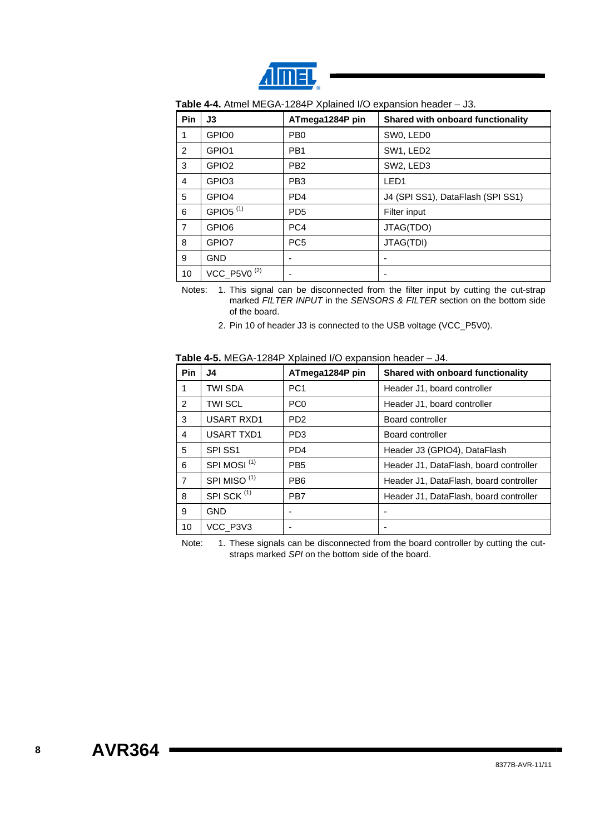

| Pin            | J3                      | ATmega1284P pin | Shared with onboard functionality |
|----------------|-------------------------|-----------------|-----------------------------------|
| 1              | GPIO0                   | PB <sub>0</sub> | SW0, LED0                         |
| $\overline{2}$ | GPIO1                   | PB <sub>1</sub> | SW1, LED2                         |
| 3              | GPIO <sub>2</sub>       | PB <sub>2</sub> | SW2, LED3                         |
| 4              | GPIO <sub>3</sub>       | PB <sub>3</sub> | LED <sub>1</sub>                  |
| 5              | GPIO4                   | PD <sub>4</sub> | J4 (SPI SS1), DataFlash (SPI SS1) |
| 6              | GPIO5 <sup>(1)</sup>    | PD <sub>5</sub> | Filter input                      |
| $\overline{7}$ | GPIO <sub>6</sub>       | PC4             | JTAG(TDO)                         |
| 8              | GPIO7                   | PC <sub>5</sub> | JTAG(TDI)                         |
| 9              | <b>GND</b>              |                 |                                   |
| 10             | VCC_P5V0 <sup>(2)</sup> |                 |                                   |

**Table 4-4.** Atmel MEGA-1284P Xplained I/O expansion header – J3.

Notes: 1. This signal can be disconnected from the filter input by cutting the cut-strap marked *FILTER INPUT* in the *SENSORS & FILTER* section on the bottom side of the board.

2. Pin 10 of header J3 is connected to the USB voltage (VCC\_P5V0).

<span id="page-7-0"></span>

| <b>Pin</b>     | J4                      | ATmega1284P pin | Shared with onboard functionality      |
|----------------|-------------------------|-----------------|----------------------------------------|
| 1              | TWI SDA                 | PC <sub>1</sub> | Header J1, board controller            |
| $\overline{2}$ | <b>TWI SCL</b>          | PC <sub>0</sub> | Header J1, board controller            |
| 3              | <b>USART RXD1</b>       | PD <sub>2</sub> | Board controller                       |
| 4              | <b>USART TXD1</b>       | PD <sub>3</sub> | Board controller                       |
| 5              | SPI SS1                 | PD <sub>4</sub> | Header J3 (GPIO4), DataFlash           |
| 6              | SPI MOSI <sup>(1)</sup> | PB <sub>5</sub> | Header J1, DataFlash, board controller |
| 7              | SPI MISO <sup>(1)</sup> | PB <sub>6</sub> | Header J1, DataFlash, board controller |
| 8              | SPI SCK <sup>(1)</sup>  | PB7             | Header J1, DataFlash, board controller |
| 9              | <b>GND</b>              |                 |                                        |
| 10             | VCC P3V3                |                 |                                        |

**Table 4-5.** MEGA-1284P Xplained I/O expansion header – J4.

Note: 1. These signals can be disconnected from the board controller by cutting the cutstraps marked *SPI* on the bottom side of the board.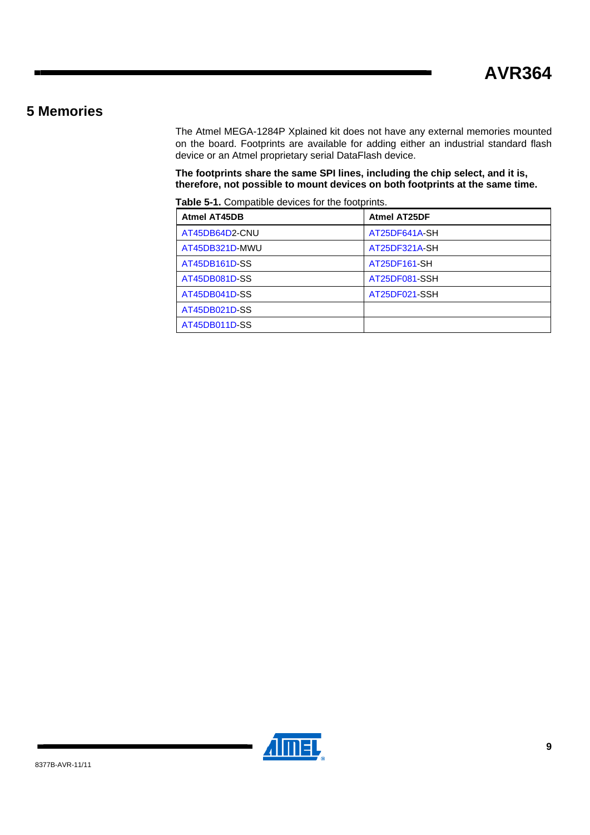### <span id="page-8-1"></span><span id="page-8-0"></span>**5 Memories**

The Atmel MEGA-1284P Xplained kit does not have any external memories mounted on the board. Footprints are available for adding either an industrial standard flash device or an Atmel proprietary serial DataFlash device.

**The footprints share the same SPI lines, including the chip select, and it is, therefore, not possible to mount devices on both footprints at the same time.** 

**Table 5-1.** Compatible devices for the footprints.

| <b>Atmel AT45DB</b> | <b>Atmel AT25DF</b> |
|---------------------|---------------------|
| AT45DB64D2-CNU      | AT25DF641A-SH       |
| AT45DB321D-MWU      | AT25DF321A-SH       |
| AT45DB161D-SS       | AT25DF161-SH        |
| AT45DB081D-SS       | AT25DF081-SSH       |
| AT45DB041D-SS       | AT25DF021-SSH       |
| AT45DB021D-SS       |                     |
| AT45DB011D-SS       |                     |

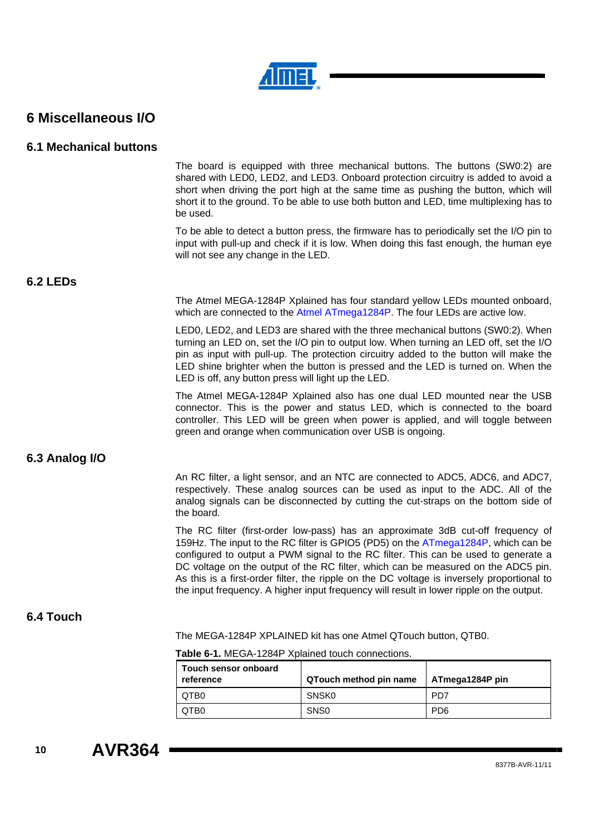

## <span id="page-9-1"></span><span id="page-9-0"></span>**6 Miscellaneous I/O**

#### <span id="page-9-2"></span>**6.1 Mechanical buttons**

| The board is equipped with three mechanical buttons. The buttons (SW0:2) are            |
|-----------------------------------------------------------------------------------------|
| shared with LED0, LED2, and LED3. Onboard protection circuitry is added to avoid a      |
| short when driving the port high at the same time as pushing the button, which will     |
| short it to the ground. To be able to use both button and LED, time multiplexing has to |
| be used.                                                                                |

To be able to detect a button press, the firmware has to periodically set the I/O pin to input with pull-up and check if it is low. When doing this fast enough, the human eye will not see any change in the LED.

#### <span id="page-9-3"></span>**6.2 LEDs**

The Atmel MEGA-1284P Xplained has four standard yellow LEDs mounted onboard, which are connected to the [Atmel ATmega1284P.](http://www.atmel.com/dyn/products/product_card.asp?part_id=4331) The four LEDs are active low.

LED0, LED2, and LED3 are shared with the three mechanical buttons (SW0:2). When turning an LED on, set the I/O pin to output low. When turning an LED off, set the I/O pin as input with pull-up. The protection circuitry added to the button will make the LED shine brighter when the button is pressed and the LED is turned on. When the LED is off, any button press will light up the LED.

The Atmel MEGA-1284P Xplained also has one dual LED mounted near the USB connector. This is the power and status LED, which is connected to the board controller. This LED will be green when power is applied, and will toggle between green and orange when communication over USB is ongoing.

#### <span id="page-9-4"></span>**6.3 Analog I/O**

An RC filter, a light sensor, and an NTC are connected to ADC5, ADC6, and ADC7, respectively. These analog sources can be used as input to the ADC. All of the analog signals can be disconnected by cutting the cut-straps on the bottom side of the board.

The RC filter (first-order low-pass) has an approximate 3dB cut-off frequency of 159Hz. The input to the RC filter is GPIO5 (PD5) on the [ATmega1284P,](http://www.atmel.com/dyn/products/product_card.asp?part_id=4331) which can be configured to output a PWM signal to the RC filter. This can be used to generate a DC voltage on the output of the RC filter, which can be measured on the ADC5 pin. As this is a first-order filter, the ripple on the DC voltage is inversely proportional to the input frequency. A higher input frequency will result in lower ripple on the output.

#### <span id="page-9-5"></span>**6.4 Touch**

The MEGA-1284P XPLAINED kit has one Atmel QTouch button, QTB0.

| Table 6-1. MEGA-1284P Xplained touch connections. |  |  |
|---------------------------------------------------|--|--|
|---------------------------------------------------|--|--|

| Touch sensor onboard<br>reference | QTouch method pin name | ATmega1284P pin |
|-----------------------------------|------------------------|-----------------|
| I OTB0                            | <b>SNSK0</b>           | PD7             |
| I OTB0                            | SN <sub>S0</sub>       | P <sub>D6</sub> |

**10 AVR364**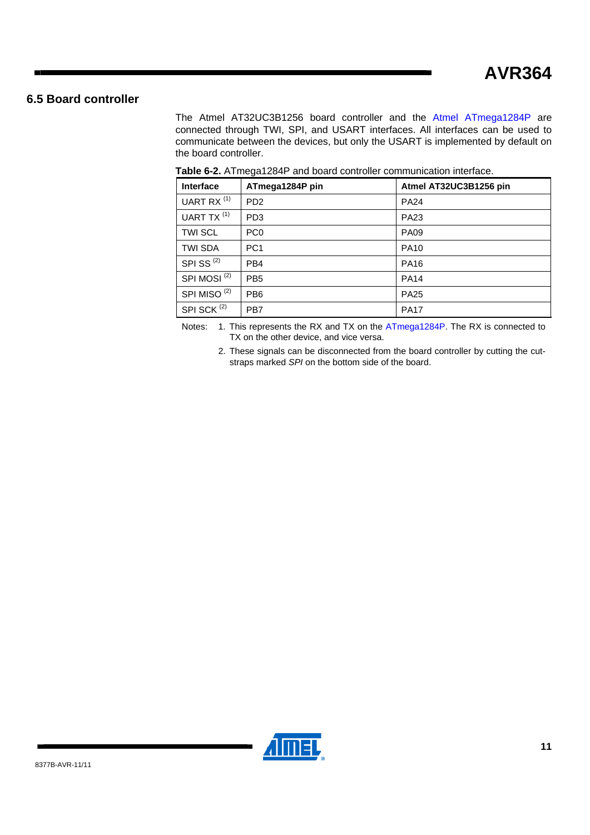### <span id="page-10-1"></span><span id="page-10-0"></span>**6.5 Board controller**

The Atmel AT32UC3B1256 board controller and the [Atmel ATmega1284P](http://www.atmel.com/dyn/products/product_card.asp?part_id=4331) are connected through TWI, SPI, and USART interfaces. All interfaces can be used to communicate between the devices, but only the USART is implemented by default on the board controller.

| Interface               | ATmega1284P pin | Atmel AT32UC3B1256 pin |
|-------------------------|-----------------|------------------------|
| UART RX <sup>(1)</sup>  | PD <sub>2</sub> | <b>PA24</b>            |
| UART TX <sup>(1)</sup>  | PD <sub>3</sub> | <b>PA23</b>            |
| <b>TWI SCL</b>          | PC <sub>0</sub> | <b>PA09</b>            |
| <b>TWI SDA</b>          | PC <sub>1</sub> | <b>PA10</b>            |
| SPISS <sup>(2)</sup>    | PB <sub>4</sub> | <b>PA16</b>            |
| SPI MOSI <sup>(2)</sup> | PB <sub>5</sub> | <b>PA14</b>            |
| SPI MISO <sup>(2)</sup> | PB <sub>6</sub> | <b>PA25</b>            |
| SPI SCK <sup>(2)</sup>  | PB7             | <b>PA17</b>            |

**Table 6-2.** ATmega1284P and board controller communication interface.

Notes: 1. This represents the RX and TX on the [ATmega1284P](http://www.atmel.com/dyn/products/product_card.asp?part_id=4331). The RX is connected to TX on the other device, and vice versa.

2. These signals can be disconnected from the board controller by cutting the cutstraps marked *SPI* on the bottom side of the board.

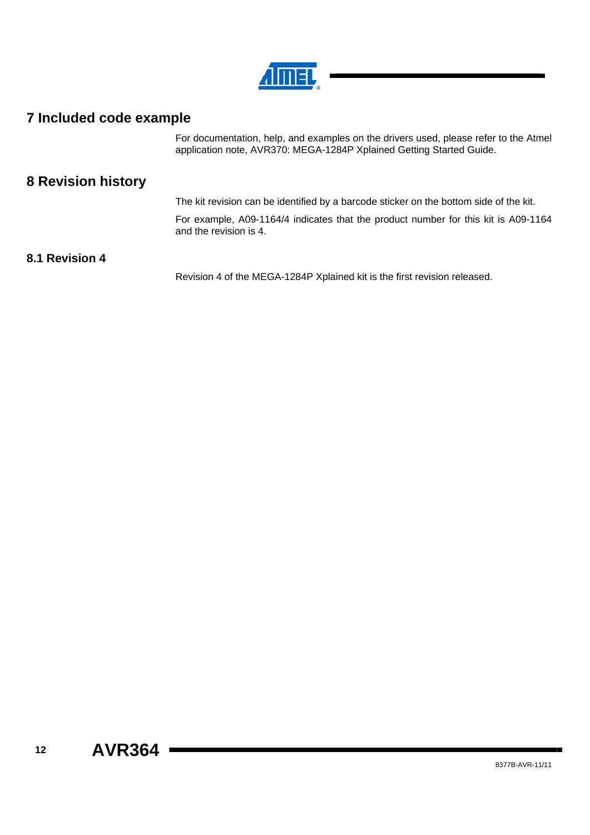

# <span id="page-11-1"></span><span id="page-11-0"></span>**7 Included code example**

For documentation, help, and examples on the drivers used, please refer to the Atmel application note, AVR370: MEGA-1284P Xplained Getting Started Guide.

## <span id="page-11-2"></span>**8 Revision history**

The kit revision can be identified by a barcode sticker on the bottom side of the kit.

For example, A09-1164/4 indicates that the product number for this kit is A09-1164 and the revision is 4.

### <span id="page-11-3"></span>**8.1 Revision 4**

Revision 4 of the MEGA-1284P Xplained kit is the first revision released.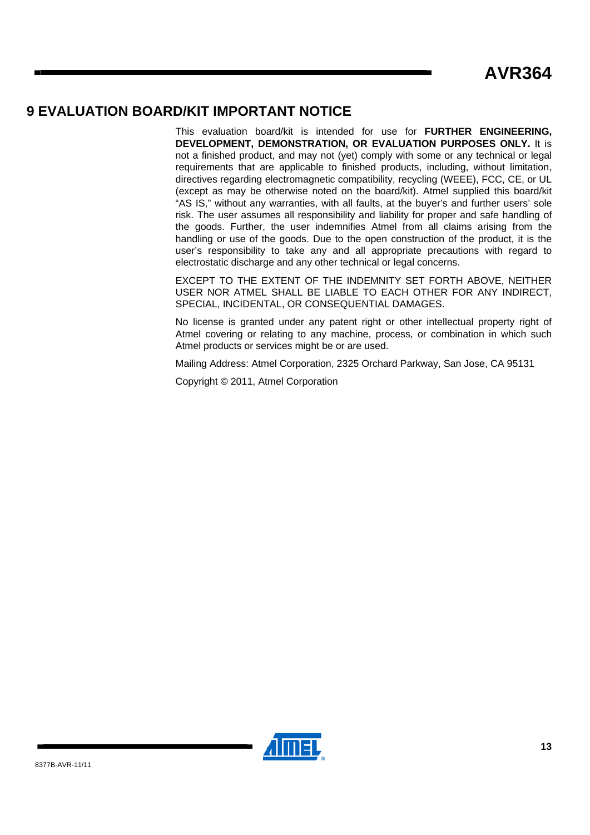### <span id="page-12-1"></span><span id="page-12-0"></span>**9 EVALUATION BOARD/KIT IMPORTANT NOTICE**

This evaluation board/kit is intended for use for **FURTHER ENGINEERING, DEVELOPMENT, DEMONSTRATION, OR EVALUATION PURPOSES ONLY.** It is not a finished product, and may not (yet) comply with some or any technical or legal requirements that are applicable to finished products, including, without limitation, directives regarding electromagnetic compatibility, recycling (WEEE), FCC, CE, or UL (except as may be otherwise noted on the board/kit). Atmel supplied this board/kit "AS IS," without any warranties, with all faults, at the buyer's and further users' sole risk. The user assumes all responsibility and liability for proper and safe handling of the goods. Further, the user indemnifies Atmel from all claims arising from the handling or use of the goods. Due to the open construction of the product, it is the user's responsibility to take any and all appropriate precautions with regard to electrostatic discharge and any other technical or legal concerns.

EXCEPT TO THE EXTENT OF THE INDEMNITY SET FORTH ABOVE, NEITHER USER NOR ATMEL SHALL BE LIABLE TO EACH OTHER FOR ANY INDIRECT, SPECIAL, INCIDENTAL, OR CONSEQUENTIAL DAMAGES.

No license is granted under any patent right or other intellectual property right of Atmel covering or relating to any machine, process, or combination in which such Atmel products or services might be or are used.

Mailing Address: Atmel Corporation, 2325 Orchard Parkway, San Jose, CA 95131

Copyright © 2011, Atmel Corporation

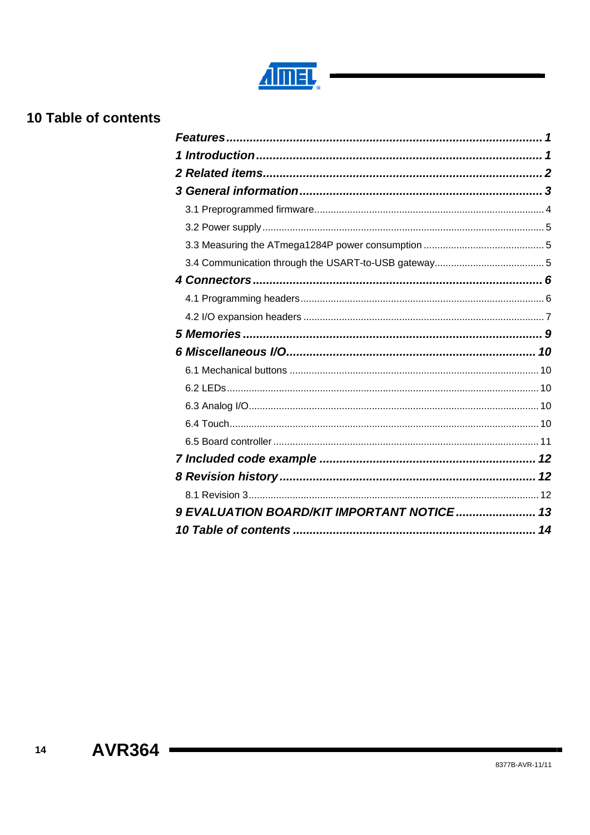

# <span id="page-13-1"></span><span id="page-13-0"></span>10 Table of contents

| 9 EVALUATION BOARD/KIT IMPORTANT NOTICE 13 |  |
|--------------------------------------------|--|

 $14$